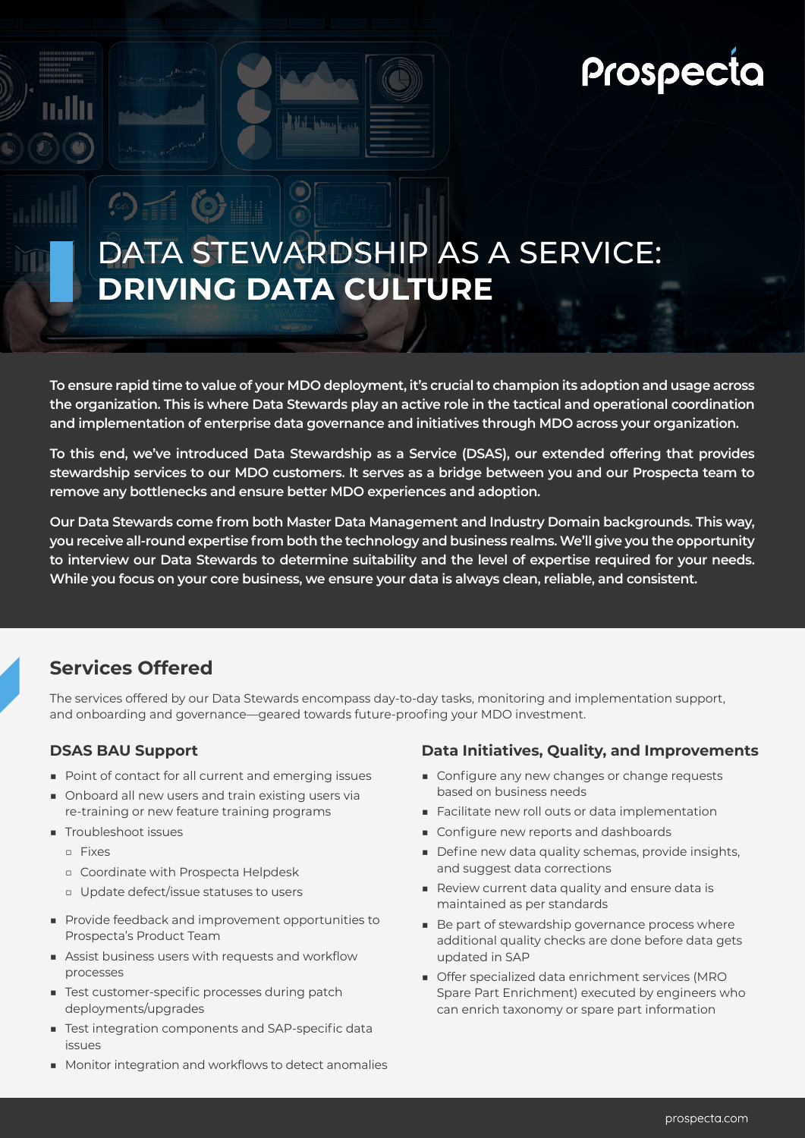# Prospecta

# DATA STEWARDSHIP AS A SERVICE: **DRIVING DATA CULTURE**

**To ensure rapid time to value of your MDO deployment, it's crucial to champion its adoption and usage across the organization. This is where Data Stewards play an active role in the tactical and operational coordination and implementation of enterprise data governance and initiatives through MDO across your organization.** 

**To this end, we've introduced Data Stewardship as a Service (DSAS), our extended offering that provides stewardship services to our MDO customers. It serves as a bridge between you and our Prospecta team to remove any bottlenecks and ensure better MDO experiences and adoption.**

**Our Data Stewards come from both Master Data Management and Industry Domain backgrounds. This way, you receive all-round expertise from both the technology and business realms. We'll give you the opportunity to interview our Data Stewards to determine suitability and the level of expertise required for your needs. While you focus on your core business, we ensure your data is always clean, reliable, and consistent.**

### **Services Offered**

 $\odot$   $\Box$ 

The services offered by our Data Stewards encompass day-to-day tasks, monitoring and implementation support, and onboarding and governance—geared towards future-proofing your MDO investment.

#### **DSAS BAU Support**

- Point of contact for all current and emerging issues
- Onboard all new users and train existing users via re-training or new feature training programs
- Troubleshoot issues
	- □ Fixes
	- □ Coordinate with Prospecta Helpdesk
	- □ Update defect/issue statuses to users
- Provide feedback and improvement opportunities to Prospecta's Product Team
- Assist business users with requests and workflow processes
- Test customer-specific processes during patch deployments/upgrades
- Test integration components and SAP-specific data issues
- Monitor integration and workflows to detect anomalies

#### **Data Initiatives, Quality, and Improvements**

- Configure any new changes or change requests based on business needs
- Facilitate new roll outs or data implementation
- Configure new reports and dashboards
- Define new data quality schemas, provide insights, and suggest data corrections
- Review current data quality and ensure data is maintained as per standards
- Be part of stewardship governance process where additional quality checks are done before data gets updated in SAP
- Offer specialized data enrichment services (MRO Spare Part Enrichment) executed by engineers who can enrich taxonomy or spare part information